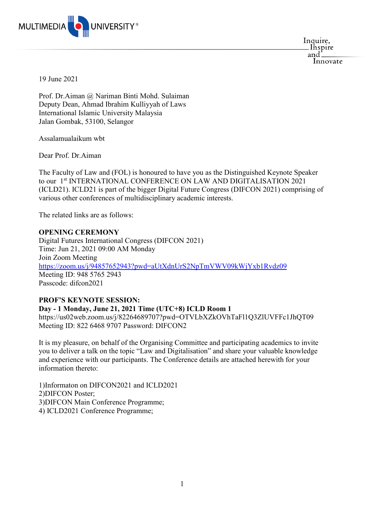

Inquire, . Inspire and: Innovate

19 June 2021

Prof. Dr.Aiman @ Nariman Binti Mohd. Sulaiman Deputy Dean, Ahmad Ibrahim Kulliyyah of Laws International Islamic University Malaysia Jalan Gombak, 53100, Selangor

Assalamualaikum wbt

Dear Prof. Dr.Aiman

The Faculty of Law and (FOL) is honoured to have you as the Distinguished Keynote Speaker to our 1<sup>st</sup> INTERNATIONAL CONFERENCE ON LAW AND DIGITALISATION 2021 (ICLD21). ICLD21 is part of the bigger Digital Future Congress (DIFCON 2021) comprising of various other conferences of multidisciplinary academic interests.

The related links are as follows:

## **OPENING CEREMONY**

Digital Futures International Congress (DIFCON 2021) Time: Jun 21, 2021 09:00 AM Monday Join Zoom Meeting <https://zoom.us/j/94857652943?pwd=aUtXdnUrS2NpTmVWV09kWjYxb1Rvdz09> Meeting ID: 948 5765 2943 Passcode: difcon2021

## **PROF'S KEYNOTE SESSION:**

**Day - 1 Monday, June 21, 2021 Time (UTC+8) ICLD Room 1**

https://us02web.zoom.us/j/82264689707?pwd=OTVLbXZkOVhTaFl1Q3ZlUVFFc1JhQT09 Meeting ID: 822 6468 9707 Password: DIFCON2

It is my pleasure, on behalf of the Organising Committee and participating academics to invite you to deliver a talk on the topic "Law and Digitalisation" and share your valuable knowledge and experience with our participants. The Conference details are attached herewith for your information thereto:

1)Informaton on DIFCON2021 and ICLD2021 2)DIFCON Poster; 3)DIFCON Main Conference Programme; 4) ICLD2021 Conference Programme;